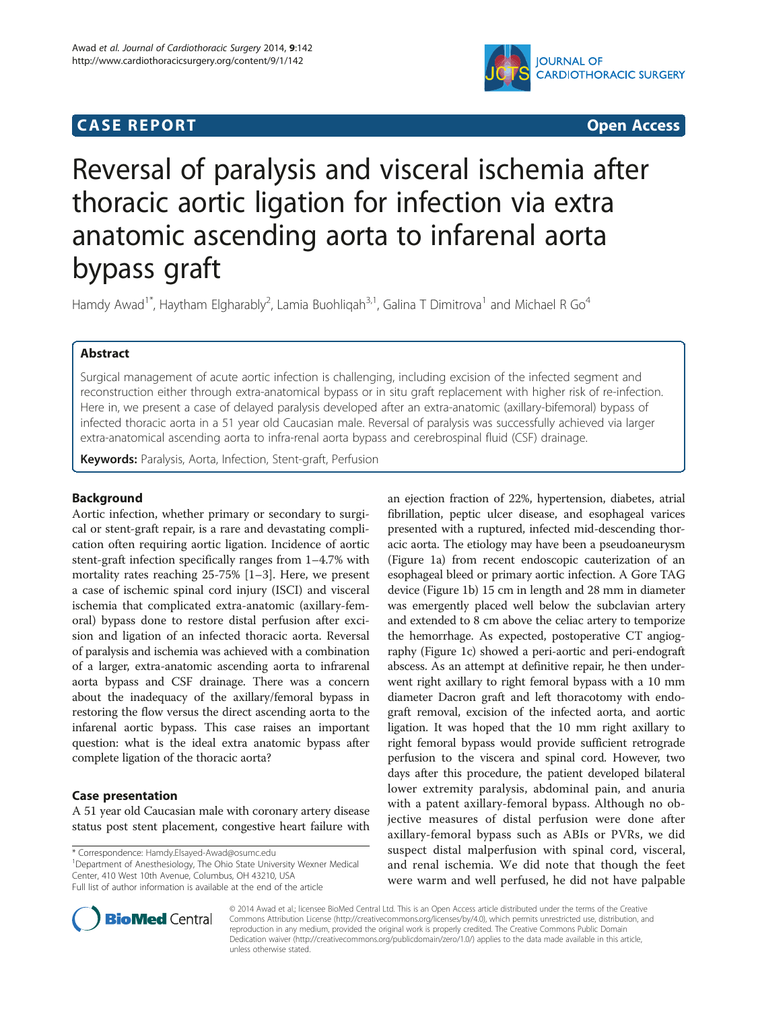## **CASE REPORT CASE REPORT CASE REPORT**



# Reversal of paralysis and visceral ischemia after thoracic aortic ligation for infection via extra anatomic ascending aorta to infarenal aorta bypass graft

Hamdy Awad<sup>1\*</sup>, Haytham Elgharably<sup>2</sup>, Lamia Buohliqah<sup>3,1</sup>, Galina T Dimitrova<sup>1</sup> and Michael R Go<sup>4</sup>

## Abstract

Surgical management of acute aortic infection is challenging, including excision of the infected segment and reconstruction either through extra-anatomical bypass or in situ graft replacement with higher risk of re-infection. Here in, we present a case of delayed paralysis developed after an extra-anatomic (axillary-bifemoral) bypass of infected thoracic aorta in a 51 year old Caucasian male. Reversal of paralysis was successfully achieved via larger extra-anatomical ascending aorta to infra-renal aorta bypass and cerebrospinal fluid (CSF) drainage.

Keywords: Paralysis, Aorta, Infection, Stent-graft, Perfusion

## Background

Aortic infection, whether primary or secondary to surgical or stent-graft repair, is a rare and devastating complication often requiring aortic ligation. Incidence of aortic stent-graft infection specifically ranges from 1–4.7% with mortality rates reaching 25-75% [\[1](#page-2-0)–[3](#page-2-0)]. Here, we present a case of ischemic spinal cord injury (ISCI) and visceral ischemia that complicated extra-anatomic (axillary-femoral) bypass done to restore distal perfusion after excision and ligation of an infected thoracic aorta. Reversal of paralysis and ischemia was achieved with a combination of a larger, extra-anatomic ascending aorta to infrarenal aorta bypass and CSF drainage. There was a concern about the inadequacy of the axillary/femoral bypass in restoring the flow versus the direct ascending aorta to the infarenal aortic bypass. This case raises an important question: what is the ideal extra anatomic bypass after complete ligation of the thoracic aorta?

## Case presentation

A 51 year old Caucasian male with coronary artery disease status post stent placement, congestive heart failure with

\* Correspondence: [Hamdy.Elsayed-Awad@osumc.edu](mailto:Hamdy.Elsayed-Awad@osumc.edu) <sup>1</sup>

<sup>1</sup>Department of Anesthesiology, The Ohio State University Wexner Medical Center, 410 West 10th Avenue, Columbus, OH 43210, USA Full list of author information is available at the end of the article

an ejection fraction of 22%, hypertension, diabetes, atrial fibrillation, peptic ulcer disease, and esophageal varices presented with a ruptured, infected mid-descending thoracic aorta. The etiology may have been a pseudoaneurysm (Figure [1a](#page-1-0)) from recent endoscopic cauterization of an esophageal bleed or primary aortic infection. A Gore TAG device (Figure [1](#page-1-0)b) 15 cm in length and 28 mm in diameter was emergently placed well below the subclavian artery and extended to 8 cm above the celiac artery to temporize the hemorrhage. As expected, postoperative CT angiography (Figure [1c](#page-1-0)) showed a peri-aortic and peri-endograft abscess. As an attempt at definitive repair, he then underwent right axillary to right femoral bypass with a 10 mm diameter Dacron graft and left thoracotomy with endograft removal, excision of the infected aorta, and aortic ligation. It was hoped that the 10 mm right axillary to right femoral bypass would provide sufficient retrograde perfusion to the viscera and spinal cord. However, two days after this procedure, the patient developed bilateral lower extremity paralysis, abdominal pain, and anuria with a patent axillary-femoral bypass. Although no objective measures of distal perfusion were done after axillary-femoral bypass such as ABIs or PVRs, we did suspect distal malperfusion with spinal cord, visceral, and renal ischemia. We did note that though the feet were warm and well perfused, he did not have palpable



© 2014 Awad et al.; licensee BioMed Central Ltd. This is an Open Access article distributed under the terms of the Creative Commons Attribution License (http://creativecommons.org/licenses/by/4.0), which permits unrestricted use, distribution, and reproduction in any medium, provided the original work is properly credited. The Creative Commons Public Domain Dedication waiver (http://creativecommons.org/publicdomain/zero/1.0/) applies to the data made available in this article, unless otherwise stated.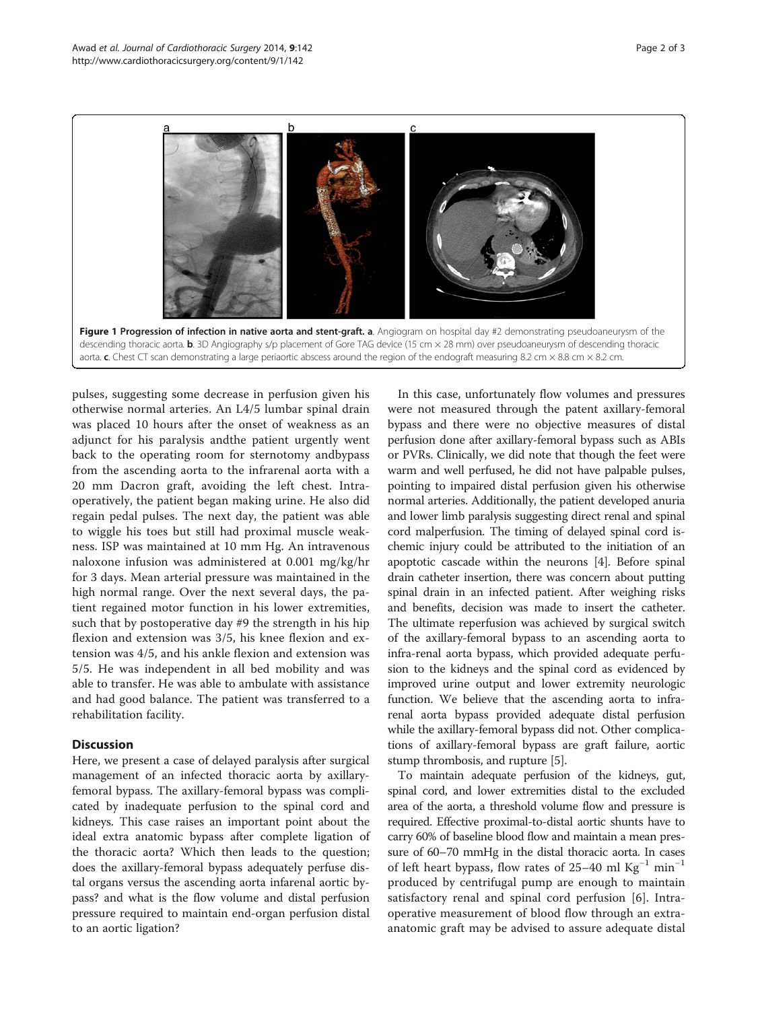<span id="page-1-0"></span>

pulses, suggesting some decrease in perfusion given his otherwise normal arteries. An L4/5 lumbar spinal drain was placed 10 hours after the onset of weakness as an adjunct for his paralysis andthe patient urgently went back to the operating room for sternotomy andbypass from the ascending aorta to the infrarenal aorta with a 20 mm Dacron graft, avoiding the left chest. Intraoperatively, the patient began making urine. He also did regain pedal pulses. The next day, the patient was able to wiggle his toes but still had proximal muscle weakness. ISP was maintained at 10 mm Hg. An intravenous naloxone infusion was administered at 0.001 mg/kg/hr for 3 days. Mean arterial pressure was maintained in the high normal range. Over the next several days, the patient regained motor function in his lower extremities, such that by postoperative day #9 the strength in his hip flexion and extension was 3/5, his knee flexion and extension was 4/5, and his ankle flexion and extension was 5/5. He was independent in all bed mobility and was able to transfer. He was able to ambulate with assistance and had good balance. The patient was transferred to a rehabilitation facility.

## **Discussion**

Here, we present a case of delayed paralysis after surgical management of an infected thoracic aorta by axillaryfemoral bypass. The axillary-femoral bypass was complicated by inadequate perfusion to the spinal cord and kidneys. This case raises an important point about the ideal extra anatomic bypass after complete ligation of the thoracic aorta? Which then leads to the question; does the axillary-femoral bypass adequately perfuse distal organs versus the ascending aorta infarenal aortic bypass? and what is the flow volume and distal perfusion pressure required to maintain end-organ perfusion distal to an aortic ligation?

In this case, unfortunately flow volumes and pressures were not measured through the patent axillary-femoral bypass and there were no objective measures of distal perfusion done after axillary-femoral bypass such as ABIs or PVRs. Clinically, we did note that though the feet were warm and well perfused, he did not have palpable pulses, pointing to impaired distal perfusion given his otherwise normal arteries. Additionally, the patient developed anuria and lower limb paralysis suggesting direct renal and spinal cord malperfusion. The timing of delayed spinal cord ischemic injury could be attributed to the initiation of an apoptotic cascade within the neurons [\[4\]](#page-2-0). Before spinal drain catheter insertion, there was concern about putting spinal drain in an infected patient. After weighing risks and benefits, decision was made to insert the catheter. The ultimate reperfusion was achieved by surgical switch of the axillary-femoral bypass to an ascending aorta to infra-renal aorta bypass, which provided adequate perfusion to the kidneys and the spinal cord as evidenced by improved urine output and lower extremity neurologic function. We believe that the ascending aorta to infrarenal aorta bypass provided adequate distal perfusion while the axillary-femoral bypass did not. Other complications of axillary-femoral bypass are graft failure, aortic stump thrombosis, and rupture [[5\]](#page-2-0).

To maintain adequate perfusion of the kidneys, gut, spinal cord, and lower extremities distal to the excluded area of the aorta, a threshold volume flow and pressure is required. Effective proximal-to-distal aortic shunts have to carry 60% of baseline blood flow and maintain a mean pressure of 60–70 mmHg in the distal thoracic aorta. In cases of left heart bypass, flow rates of 25–40 ml  $Kg^{-1}$  min<sup>-1</sup> produced by centrifugal pump are enough to maintain satisfactory renal and spinal cord perfusion [[6\]](#page-2-0). Intraoperative measurement of blood flow through an extraanatomic graft may be advised to assure adequate distal